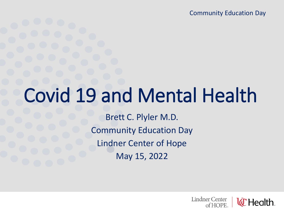Community Education Day

# Covid 19 and Mental Health

Brett C. Plyler M.D. Community Education Day Lindner Center of Hope May 15, 2022

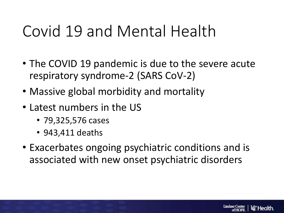- The COVID 19 pandemic is due to the severe acute respiratory syndrome-2 (SARS CoV-2)
- Massive global morbidity and mortality
- Latest numbers in the US
	- 79,325,576 cases
	- 943,411 deaths
- Exacerbates ongoing psychiatric conditions and is associated with new onset psychiatric disorders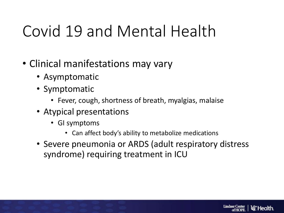- Clinical manifestations may vary
	- Asymptomatic
	- Symptomatic
		- Fever, cough, shortness of breath, myalgias, malaise
	- Atypical presentations
		- GI symptoms
			- Can affect body's ability to metabolize medications
	- Severe pneumonia or ARDS (adult respiratory distress syndrome) requiring treatment in ICU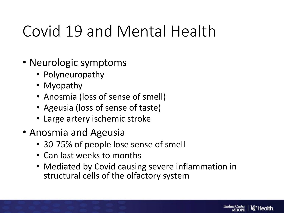- Neurologic symptoms
	- Polyneuropathy
	- Myopathy
	- Anosmia (loss of sense of smell)
	- Ageusia (loss of sense of taste)
	- Large artery ischemic stroke
- Anosmia and Ageusia
	- 30-75% of people lose sense of smell
	- Can last weeks to months
	- Mediated by Covid causing severe inflammation in structural cells of the olfactory system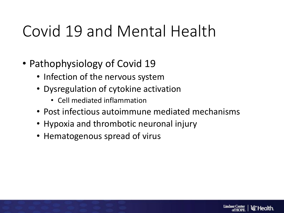- Pathophysiology of Covid 19
	- Infection of the nervous system
	- Dysregulation of cytokine activation
		- Cell mediated inflammation
	- Post infectious autoimmune mediated mechanisms

**Lindner Center** 

ld" Health

- Hypoxia and thrombotic neuronal injury
- Hematogenous spread of virus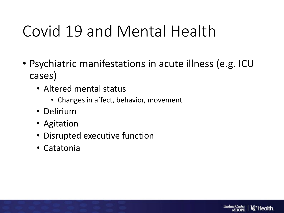- Psychiatric manifestations in acute illness (e.g. ICU cases)
	- Altered mental status
		- Changes in affect, behavior, movement
	- Delirium
	- Agitation
	- Disrupted executive function
	- Catatonia

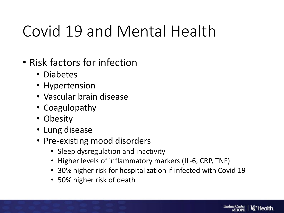- Risk factors for infection
	- Diabetes
	- Hypertension
	- Vascular brain disease
	- Coagulopathy
	- Obesity
	- Lung disease
	- Pre-existing mood disorders
		- Sleep dysregulation and inactivity
		- Higher levels of inflammatory markers (IL-6, CRP, TNF)
		- 30% higher risk for hospitalization if infected with Covid 19
		- 50% higher risk of death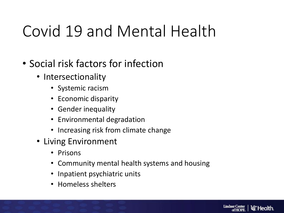- Social risk factors for infection
	- Intersectionality
		- Systemic racism
		- Economic disparity
		- Gender inequality
		- Environmental degradation
		- Increasing risk from climate change
	- Living Environment
		- Prisons
		- Community mental health systems and housing
		- Inpatient psychiatric units
		- Homeless shelters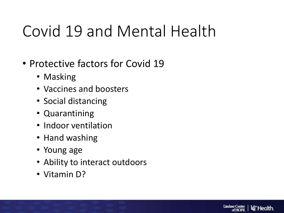- Protective factors for Covid 19
	- Masking
	- Vaccines and boosters
	- Social distancing
	- Quarantining
	- Indoor ventilation
	- Hand washing
	- Young age
	- Ability to interact outdoors
	- Vitamin D?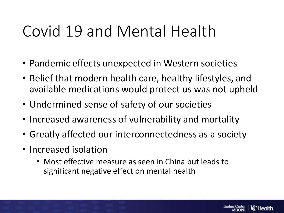- Pandemic effects unexpected in Western societies
- Belief that modern health care, healthy lifestyles, and available medications would protect us was not upheld
- Undermined sense of safety of our societies
- Increased awareness of vulnerability and mortality
- Greatly affected our interconnectedness as a society
- Increased isolation
	- Most effective measure as seen in China but leads to significant negative effect on mental health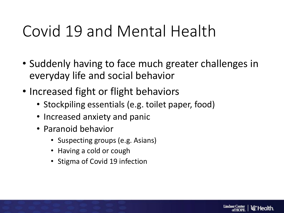- Suddenly having to face much greater challenges in everyday life and social behavior
- Increased fight or flight behaviors
	- Stockpiling essentials (e.g. toilet paper, food)
	- Increased anxiety and panic
	- Paranoid behavior
		- Suspecting groups (e.g. Asians)
		- Having a cold or cough
		- Stigma of Covid 19 infection

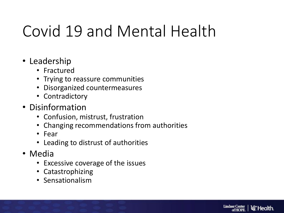- Leadership
	- Fractured
	- Trying to reassure communities
	- Disorganized countermeasures
	- Contradictory
- Disinformation
	- Confusion, mistrust, frustration
	- Changing recommendations from authorities
	- Fear
	- Leading to distrust of authorities
- Media
	- Excessive coverage of the issues
	- Catastrophizing
	- Sensationalism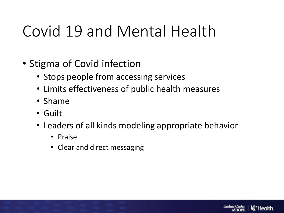- Stigma of Covid infection
	- Stops people from accessing services
	- Limits effectiveness of public health measures
	- Shame
	- Guilt
	- Leaders of all kinds modeling appropriate behavior
		- Praise
		- Clear and direct messaging

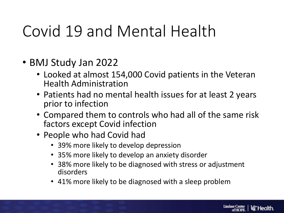- BMJ Study Jan 2022
	- Looked at almost 154,000 Covid patients in the Veteran Health Administration
	- Patients had no mental health issues for at least 2 years prior to infection
	- Compared them to controls who had all of the same risk factors except Covid infection
	- People who had Covid had
		- 39% more likely to develop depression
		- 35% more likely to develop an anxiety disorder
		- 38% more likely to be diagnosed with stress or adjustment disorders
		- 41% more likely to be diagnosed with a sleep problem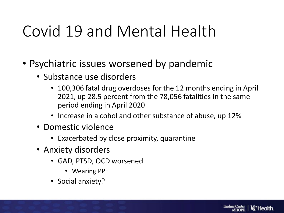- Psychiatric issues worsened by pandemic
	- Substance use disorders
		- 100,306 fatal drug overdoses for the 12 months ending in April 2021, up 28.5 percent from the 78,056 fatalities in the same period ending in April 2020
		- Increase in alcohol and other substance of abuse, up 12%
	- Domestic violence
		- Exacerbated by close proximity, quarantine
	- Anxiety disorders
		- GAD, PTSD, OCD worsened
			- Wearing PPE
		- Social anxiety?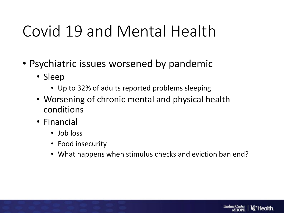- Psychiatric issues worsened by pandemic
	- Sleep
		- Up to 32% of adults reported problems sleeping
	- Worsening of chronic mental and physical health conditions
	- Financial
		- Job loss
		- Food insecurity
		- What happens when stimulus checks and eviction ban end?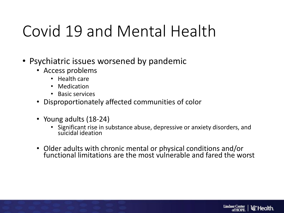- Psychiatric issues worsened by pandemic
	- Access problems
		- Health care
		- Medication
		- Basic services
	- Disproportionately affected communities of color
	- Young adults (18-24)
		- Significant rise in substance abuse, depressive or anxiety disorders, and suicidal ideation
	- Older adults with chronic mental or physical conditions and/or functional limitations are the most vulnerable and fared the worst

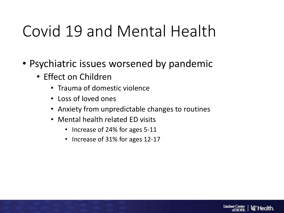- Psychiatric issues worsened by pandemic
	- Effect on Children
		- Trauma of domestic violence
		- Loss of loved ones
		- Anxiety from unpredictable changes to routines
		- Mental health related ED visits
			- Increase of 24% for ages 5-11
			- Increase of 31% for ages 12-17

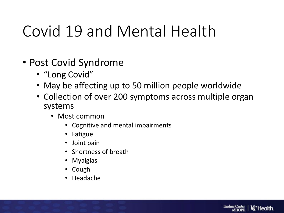- Post Covid Syndrome
	- "Long Covid"
	- May be affecting up to 50 million people worldwide
	- Collection of over 200 symptoms across multiple organ systems
		- Most common
			- Cognitive and mental impairments
			- Fatigue
			- Joint pain
			- Shortness of breath
			- Myalgias
			- Cough
			- Headache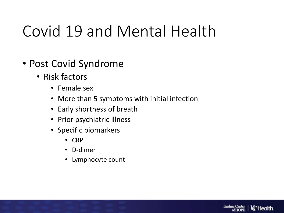- Post Covid Syndrome
	- Risk factors
		- Female sex
		- More than 5 symptoms with initial infection
		- Early shortness of breath
		- Prior psychiatric illness
		- Specific biomarkers
			- CRP
			- D-dimer
			- Lymphocyte count

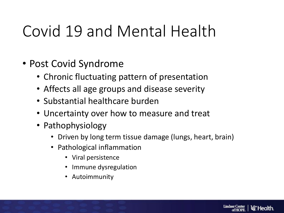- Post Covid Syndrome
	- Chronic fluctuating pattern of presentation
	- Affects all age groups and disease severity
	- Substantial healthcare burden
	- Uncertainty over how to measure and treat
	- Pathophysiology
		- Driven by long term tissue damage (lungs, heart, brain)
		- Pathological inflammation
			- Viral persistence
			- Immune dysregulation
			- Autoimmunity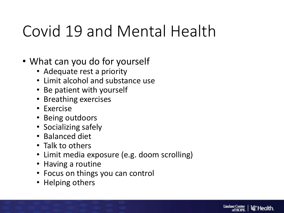- What can you do for yourself
	- Adequate rest a priority
	- Limit alcohol and substance use
	- Be patient with yourself
	- Breathing exercises
	- Exercise
	- Being outdoors
	- Socializing safely
	- Balanced diet
	- Talk to others
	- Limit media exposure (e.g. doom scrolling)
	- Having a routine
	- Focus on things you can control
	- Helping others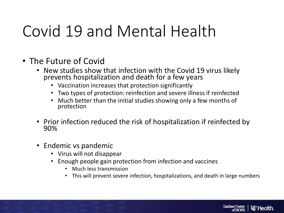- The Future of Covid
	- New studies show that infection with the Covid 19 virus likely prevents hospitalization and death for a few years
		- Vaccination increases that protection significantly
		- Two types of protection: reinfection and severe illness if reinfected
		- Much better than the initial studies showing only a few months of protection
	- Prior infection reduced the risk of hospitalization if reinfected by 90%
	- Endemic vs pandemic
		- Virus will not disappear
		- Enough people gain protection from infection and vaccines
			- Much less transmission
			- This will prevent severe infection, hospitalizations, and death in large numbers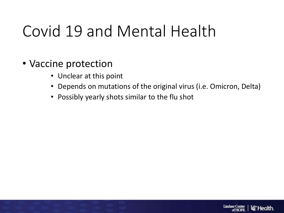#### • Vaccine protection

- Unclear at this point
- Depends on mutations of the original virus (i.e. Omicron, Delta)
- Possibly yearly shots similar to the flu shot

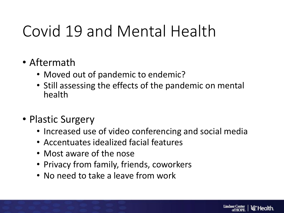- Aftermath
	- Moved out of pandemic to endemic?
	- Still assessing the effects of the pandemic on mental health
- Plastic Surgery
	- Increased use of video conferencing and social media
	- Accentuates idealized facial features
	- Most aware of the nose
	- Privacy from family, friends, coworkers
	- No need to take a leave from work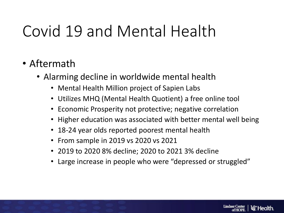- Aftermath
	- Alarming decline in worldwide mental health
		- Mental Health Million project of Sapien Labs
		- Utilizes MHQ (Mental Health Quotient) a free online tool
		- Economic Prosperity not protective; negative correlation
		- Higher education was associated with better mental well being
		- 18-24 year olds reported poorest mental health
		- From sample in 2019 vs 2020 vs 2021
		- 2019 to 2020 8% decline; 2020 to 2021 3% decline
		- Large increase in people who were "depressed or struggled"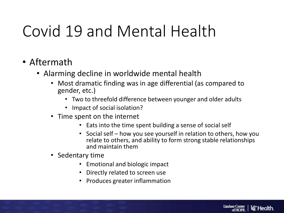- Aftermath
	- Alarming decline in worldwide mental health
		- Most dramatic finding was in age differential (as compared to gender, etc.)
			- Two to threefold difference between younger and older adults
			- Impact of social isolation?
		- Time spent on the internet
			- Eats into the time spent building a sense of social self
			- Social self how you see yourself in relation to others, how you relate to others, and ability to form strong stable relationships and maintain them
		- Sedentary time
			- Emotional and biologic impact
			- Directly related to screen use
			- Produces greater inflammation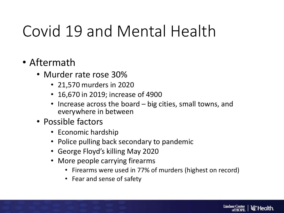- Aftermath
	- Murder rate rose 30%
		- 21,570 murders in 2020
		- 16,670 in 2019; increase of 4900
		- Increase across the board big cities, small towns, and everywhere in between
	- Possible factors
		- Economic hardship
		- Police pulling back secondary to pandemic
		- George Floyd's killing May 2020
		- More people carrying firearms
			- Firearms were used in 77% of murders (highest on record)
			- Fear and sense of safety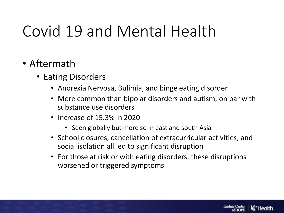- Eating Disorders
	- Anorexia Nervosa, Bulimia, and binge eating disorder
	- More common than bipolar disorders and autism, on par with substance use disorders
	- Increase of 15.3% in 2020
		- Seen globally but more so in east and south Asia
	- School closures, cancellation of extracurricular activities, and social isolation all led to significant disruption
	- For those at risk or with eating disorders, these disruptions worsened or triggered symptoms

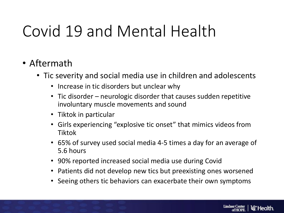- Tic severity and social media use in children and adolescents
	- Increase in tic disorders but unclear why
	- Tic disorder neurologic disorder that causes sudden repetitive involuntary muscle movements and sound
	- Tiktok in particular
	- Girls experiencing "explosive tic onset" that mimics videos from Tiktok
	- 65% of survey used social media 4-5 times a day for an average of 5.6 hours
	- 90% reported increased social media use during Covid
	- Patients did not develop new tics but preexisting ones worsened
	- Seeing others tic behaviors can exacerbate their own symptoms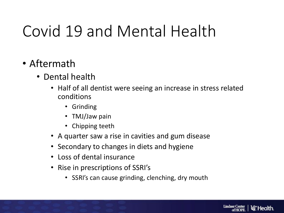- Dental health
	- Half of all dentist were seeing an increase in stress related conditions
		- Grinding
		- TMJ/Jaw pain
		- Chipping teeth
	- A quarter saw a rise in cavities and gum disease
	- Secondary to changes in diets and hygiene
	- Loss of dental insurance
	- Rise in prescriptions of SSRI's
		- SSRI's can cause grinding, clenching, dry mouth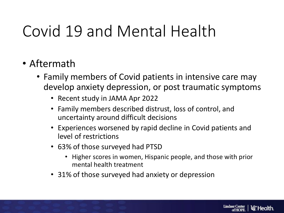- Family members of Covid patients in intensive care may develop anxiety depression, or post traumatic symptoms
	- Recent study in JAMA Apr 2022
	- Family members described distrust, loss of control, and uncertainty around difficult decisions
	- Experiences worsened by rapid decline in Covid patients and level of restrictions
	- 63% of those surveyed had PTSD
		- Higher scores in women, Hispanic people, and those with prior mental health treatment
	- 31% of those surveyed had anxiety or depression